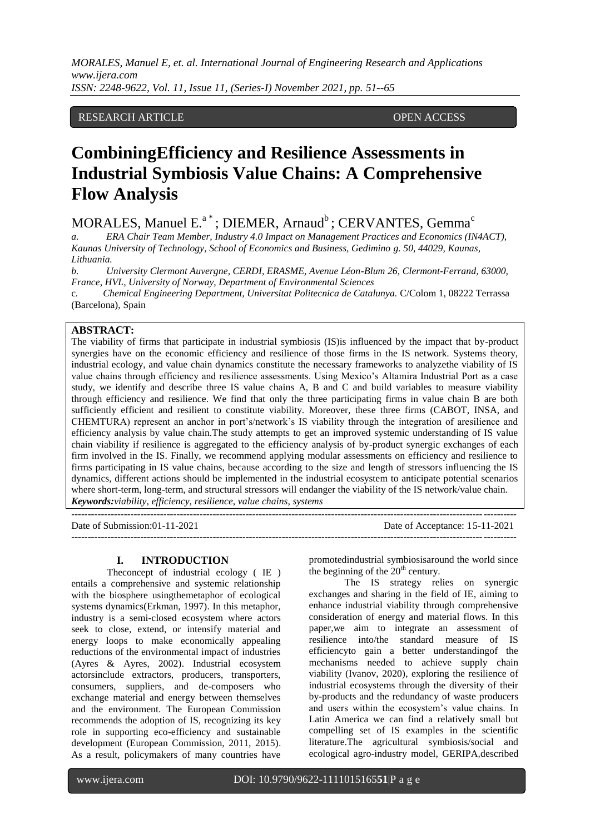## RESEARCH ARTICLE OPEN ACCESS

# **CombiningEfficiency and Resilience Assessments in Industrial Symbiosis Value Chains: A Comprehensive Flow Analysis**

 $MORALES,$  Manuel  $E^a$ <sup>\*</sup>; DIEMER, Arnaud<sup>b</sup>; CERVANTES, Gemma<sup>c</sup>

*a. ERA Chair Team Member, Industry 4.0 Impact on Management Practices and Economics (IN4ACT), Kaunas University of Technology, School of Economics and Business, Gedimino g. 50, 44029, Kaunas, Lithuania.* 

*b. University Clermont Auvergne, CERDI, ERASME, Avenue Léon-Blum 26, Clermont-Ferrand, 63000, France, HVL, University of Norway, Department of Environmental Sciences*

c*. Chemical Engineering Department, Universitat Politecnica de Catalunya.* C/Colom 1, 08222 Terrassa (Barcelona), Spain

## **ABSTRACT:**

The viability of firms that participate in industrial symbiosis (IS)is influenced by the impact that by-product synergies have on the economic efficiency and resilience of those firms in the IS network. Systems theory, industrial ecology, and value chain dynamics constitute the necessary frameworks to analyzethe viability of IS value chains through efficiency and resilience assessments. Using Mexico's Altamira Industrial Port as a case study, we identify and describe three IS value chains A, B and C and build variables to measure viability through efficiency and resilience. We find that only the three participating firms in value chain B are both sufficiently efficient and resilient to constitute viability. Moreover, these three firms (CABOT, INSA, and CHEMTURA) represent an anchor in port's/network's IS viability through the integration of aresilience and efficiency analysis by value chain.The study attempts to get an improved systemic understanding of IS value chain viability if resilience is aggregated to the efficiency analysis of by-product synergic exchanges of each firm involved in the IS. Finally, we recommend applying modular assessments on efficiency and resilience to firms participating in IS value chains, because according to the size and length of stressors influencing the IS dynamics, different actions should be implemented in the industrial ecosystem to anticipate potential scenarios where short-term, long-term, and structural stressors will endanger the viability of the IS network/value chain. *Keywords:viability, efficiency, resilience, value chains, systems*

---------------------------------------------------------------------------------------------------------------------------------------

Date of Submission:01-11-2021 Date of Acceptance: 15-11-2021

---------------------------------------------------------------------------------------------------------------------------------------

#### **I. INTRODUCTION**

Theconcept of industrial ecology ( IE ) entails a comprehensive and systemic relationship with the biosphere usingthemetaphor of ecological systems dynamics(Erkman, 1997). In this metaphor, industry is a semi-closed ecosystem where actors seek to close, extend, or intensify material and energy loops to make economically appealing reductions of the environmental impact of industries (Ayres & Ayres, 2002). Industrial ecosystem actorsinclude extractors, producers, transporters, consumers, suppliers, and de-composers who exchange material and energy between themselves and the environment. The European Commission recommends the adoption of IS, recognizing its key role in supporting eco-efficiency and sustainable development (European Commission, 2011, 2015). As a result, policymakers of many countries have promotedindustrial symbiosisaround the world since the beginning of the  $20<sup>th</sup>$  century.

The IS strategy relies on synergic exchanges and sharing in the field of IE, aiming to enhance industrial viability through comprehensive consideration of energy and material flows. In this paper,we aim to integrate an assessment of resilience into/the standard measure of IS efficiencyto gain a better understandingof the mechanisms needed to achieve supply chain viability (Ivanov, 2020), exploring the resilience of industrial ecosystems through the diversity of their by-products and the redundancy of waste producers and users within the ecosystem's value chains. In Latin America we can find a relatively small but compelling set of IS examples in the scientific literature.The agricultural symbiosis/social and ecological agro-industry model, GERIPA,described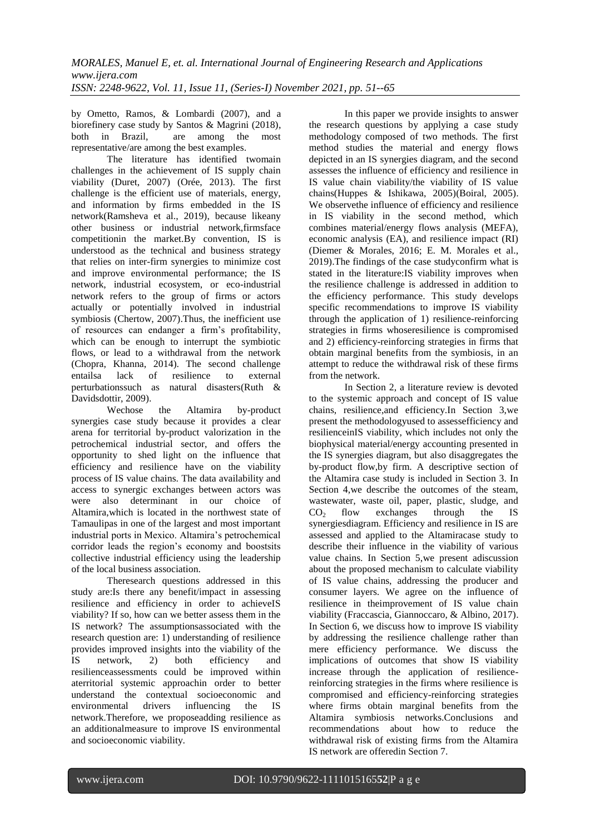by Ometto, Ramos, & Lombardi (2007), and a biorefinery case study by Santos & Magrini (2018), both in Brazil, are among the most representative/are among the best examples.

The literature has identified twomain challenges in the achievement of IS supply chain viability (Duret, 2007) (Orée, 2013). The first challenge is the efficient use of materials, energy, and information by firms embedded in the IS network(Ramsheva et al., 2019), because likeany other business or industrial network,firmsface competitionin the market.By convention, IS is understood as the technical and business strategy that relies on inter-firm synergies to minimize cost and improve environmental performance; the IS network, industrial ecosystem, or eco-industrial network refers to the group of firms or actors actually or potentially involved in industrial symbiosis (Chertow, 2007).Thus, the inefficient use of resources can endanger a firm's profitability, which can be enough to interrupt the symbiotic flows, or lead to a withdrawal from the network (Chopra, Khanna, 2014). The second challenge entailsa lack of resilience to external perturbationssuch as natural disasters(Ruth & Davidsdottir, 2009).

Wechose the Altamira by-product synergies case study because it provides a clear arena for territorial by-product valorization in the petrochemical industrial sector, and offers the opportunity to shed light on the influence that efficiency and resilience have on the viability process of IS value chains. The data availability and access to synergic exchanges between actors was were also determinant in our choice of Altamira,which is located in the northwest state of Tamaulipas in one of the largest and most important industrial ports in Mexico. Altamira's petrochemical corridor leads the region's economy and boostsits collective industrial efficiency using the leadership of the local business association.

Theresearch questions addressed in this study are:Is there any benefit/impact in assessing resilience and efficiency in order to achieveIS viability? If so, how can we better assess them in the IS network? The assumptionsassociated with the research question are: 1) understanding of resilience provides improved insights into the viability of the IS network, 2) both efficiency and resilienceassessments could be improved within aterritorial systemic approachin order to better understand the contextual socioeconomic and environmental drivers influencing the IS network.Therefore, we proposeadding resilience as an additionalmeasure to improve IS environmental and socioeconomic viability.

In this paper we provide insights to answer the research questions by applying a case study methodology composed of two methods. The first method studies the material and energy flows depicted in an IS synergies diagram, and the second assesses the influence of efficiency and resilience in IS value chain viability/the viability of IS value chains(Huppes & Ishikawa, 2005)(Boiral, 2005). We observethe influence of efficiency and resilience in IS viability in the second method, which combines material/energy flows analysis (MEFA), economic analysis (EA), and resilience impact (RI) (Diemer & Morales, 2016; E. M. Morales et al., 2019).The findings of the case studyconfirm what is stated in the literature:IS viability improves when the resilience challenge is addressed in addition to the efficiency performance. This study develops specific recommendations to improve IS viability through the application of 1) resilience-reinforcing strategies in firms whoseresilience is compromised and 2) efficiency-reinforcing strategies in firms that obtain marginal benefits from the symbiosis, in an attempt to reduce the withdrawal risk of these firms from the network.

In Section 2, a literature review is devoted to the systemic approach and concept of IS value chains, resilience,and efficiency.In Section 3,we present the methodologyused to assessefficiency and resilienceinIS viability, which includes not only the biophysical material/energy accounting presented in the IS synergies diagram, but also disaggregates the by-product flow,by firm. A descriptive section of the Altamira case study is included in Section 3. In Section 4,we describe the outcomes of the steam, wastewater, waste oil, paper, plastic, sludge, and  $CO<sub>2</sub>$  flow exchanges through the IS synergiesdiagram. Efficiency and resilience in IS are assessed and applied to the Altamiracase study to describe their influence in the viability of various value chains. In Section 5,we present adiscussion about the proposed mechanism to calculate viability of IS value chains, addressing the producer and consumer layers. We agree on the influence of resilience in theimprovement of IS value chain viability (Fraccascia, Giannoccaro, & Albino, 2017). In Section 6, we discuss how to improve IS viability by addressing the resilience challenge rather than mere efficiency performance. We discuss the implications of outcomes that show IS viability increase through the application of resiliencereinforcing strategies in the firms where resilience is compromised and efficiency-reinforcing strategies where firms obtain marginal benefits from the Altamira symbiosis networks.Conclusions and recommendations about how to reduce the withdrawal risk of existing firms from the Altamira IS network are offeredin Section 7.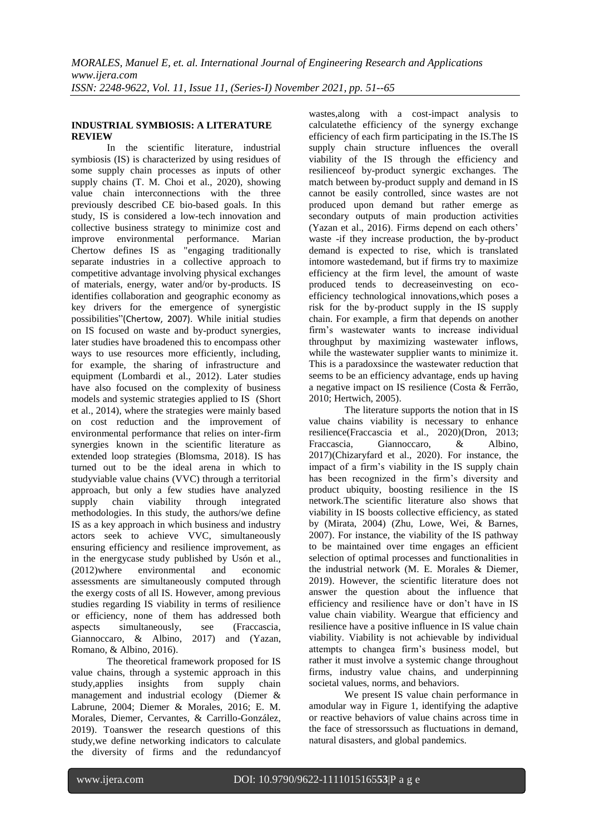## **INDUSTRIAL SYMBIOSIS: A LITERATURE REVIEW**

In the scientific literature, industrial symbiosis (IS) is characterized by using residues of some supply chain processes as inputs of other supply chains (T. M. Choi et al., 2020), showing value chain interconnections with the three previously described CE bio-based goals. In this study, IS is considered a low-tech innovation and collective business strategy to minimize cost and improve environmental performance. Marian Chertow defines IS as "engaging traditionally separate industries in a collective approach to competitive advantage involving physical exchanges of materials, energy, water and/or by-products. IS identifies collaboration and geographic economy as key drivers for the emergence of synergistic possibilities"(Chertow, 2007). While initial studies on IS focused on waste and by-product synergies, later studies have broadened this to encompass other ways to use resources more efficiently, including. for example, the sharing of infrastructure and equipment (Lombardi et al., 2012). Later studies have also focused on the complexity of business models and systemic strategies applied to IS (Short et al., 2014), where the strategies were mainly based on cost reduction and the improvement of environmental performance that relies on inter-firm synergies known in the scientific literature as extended loop strategies (Blomsma, 2018). IS has turned out to be the ideal arena in which to studyviable value chains (VVC) through a territorial approach, but only a few studies have analyzed supply chain viability through integrated methodologies. In this study, the authors/we define IS as a key approach in which business and industry actors seek to achieve VVC, simultaneously ensuring efficiency and resilience improvement, as in the energycase study published by Usón et al., (2012)where environmental and economic assessments are simultaneously computed through the exergy costs of all IS. However, among previous studies regarding IS viability in terms of resilience or efficiency, none of them has addressed both aspects simultaneously, see (Fraccascia, Giannoccaro, & Albino, 2017) and (Yazan, Romano, & Albino, 2016).

The theoretical framework proposed for IS value chains, through a systemic approach in this study,applies insights from supply chain management and industrial ecology (Diemer & Labrune, 2004; Diemer & Morales, 2016; E. M. Morales, Diemer, Cervantes, & Carrillo-González, 2019). Toanswer the research questions of this study,we define networking indicators to calculate the diversity of firms and the redundancyof

wastes,along with a cost-impact analysis to calculatethe efficiency of the synergy exchange efficiency of each firm participating in the IS.The IS supply chain structure influences the overall viability of the IS through the efficiency and resilienceof by-product synergic exchanges. The match between by-product supply and demand in IS cannot be easily controlled, since wastes are not produced upon demand but rather emerge as secondary outputs of main production activities (Yazan et al., 2016). Firms depend on each others' waste -if they increase production, the by-product demand is expected to rise, which is translated intomore wastedemand, but if firms try to maximize efficiency at the firm level, the amount of waste produced tends to decreaseinvesting on ecoefficiency technological innovations,which poses a risk for the by-product supply in the IS supply chain. For example, a firm that depends on another firm's wastewater wants to increase individual throughput by maximizing wastewater inflows, while the wastewater supplier wants to minimize it. This is a paradoxsince the wastewater reduction that seems to be an efficiency advantage, ends up having a negative impact on IS resilience (Costa & Ferrão, 2010; Hertwich, 2005).

The literature supports the notion that in IS value chains viability is necessary to enhance resilience(Fraccascia et al., 2020)(Dron, 2013; Fraccascia, Giannoccaro, & Albino, 2017)(Chizaryfard et al., 2020). For instance, the impact of a firm's viability in the IS supply chain has been recognized in the firm's diversity and product ubiquity, boosting resilience in the IS network.The scientific literature also shows that viability in IS boosts collective efficiency, as stated by (Mirata, 2004) (Zhu, Lowe, Wei, & Barnes, 2007). For instance, the viability of the IS pathway to be maintained over time engages an efficient selection of optimal processes and functionalities in the industrial network (M. E. Morales & Diemer, 2019). However, the scientific literature does not answer the question about the influence that efficiency and resilience have or don't have in IS value chain viability. Weargue that efficiency and resilience have a positive influence in IS value chain viability. Viability is not achievable by individual attempts to changea firm's business model, but rather it must involve a systemic change throughout firms, industry value chains, and underpinning societal values, norms, and behaviors.

We present IS value chain performance in amodular way in Figure 1, identifying the adaptive or reactive behaviors of value chains across time in the face of stressorssuch as fluctuations in demand, natural disasters, and global pandemics.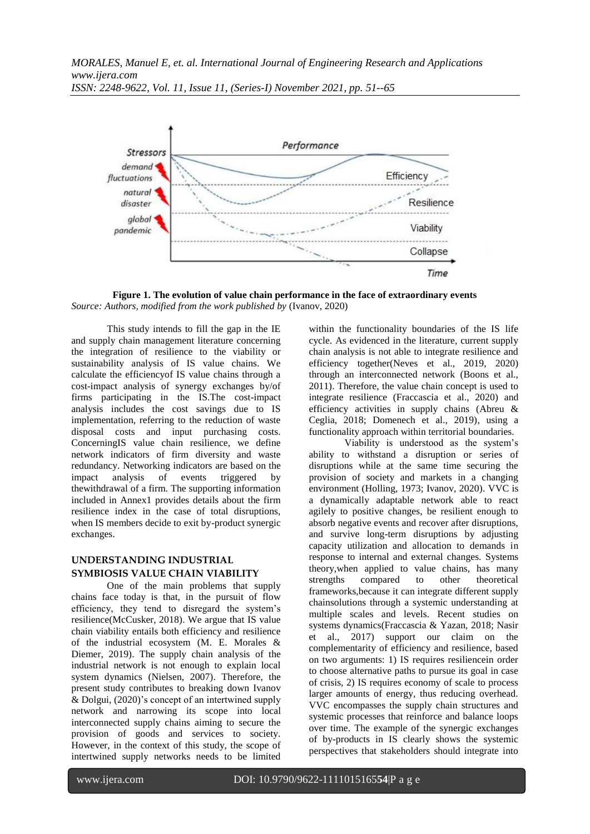

**Figure 1. The evolution of value chain performance in the face of extraordinary events** *Source: Authors, modified from the work published by* (Ivanov, 2020)

This study intends to fill the gap in the IE and supply chain management literature concerning the integration of resilience to the viability or sustainability analysis of IS value chains. We calculate the efficiencyof IS value chains through a cost-impact analysis of synergy exchanges by/of firms participating in the IS.The cost-impact analysis includes the cost savings due to IS implementation, referring to the reduction of waste disposal costs and input purchasing costs. ConcerningIS value chain resilience, we define network indicators of firm diversity and waste redundancy. Networking indicators are based on the impact analysis of events triggered by thewithdrawal of a firm. The supporting information included in Annex1 provides details about the firm resilience index in the case of total disruptions, when IS members decide to exit by-product synergic exchanges.

# **UNDERSTANDING INDUSTRIAL SYMBIOSIS VALUE CHAIN VIABILITY**

One of the main problems that supply chains face today is that, in the pursuit of flow efficiency, they tend to disregard the system's resilience(McCusker, 2018). We argue that IS value chain viability entails both efficiency and resilience of the industrial ecosystem (M. E. Morales & Diemer, 2019). The supply chain analysis of the industrial network is not enough to explain local system dynamics (Nielsen, 2007). Therefore, the present study contributes to breaking down Ivanov & Dolgui, (2020)'s concept of an intertwined supply network and narrowing its scope into local interconnected supply chains aiming to secure the provision of goods and services to society. However, in the context of this study, the scope of intertwined supply networks needs to be limited

within the functionality boundaries of the IS life cycle. As evidenced in the literature, current supply chain analysis is not able to integrate resilience and efficiency together(Neves et al., 2019, 2020) through an interconnected network (Boons et al., 2011). Therefore, the value chain concept is used to integrate resilience (Fraccascia et al., 2020) and efficiency activities in supply chains (Abreu & Ceglia, 2018; Domenech et al., 2019), using a functionality approach within territorial boundaries.

Viability is understood as the system's ability to withstand a disruption or series of disruptions while at the same time securing the provision of society and markets in a changing environment (Holling, 1973; Ivanov, 2020). VVC is a dynamically adaptable network able to react agilely to positive changes, be resilient enough to absorb negative events and recover after disruptions, and survive long-term disruptions by adjusting capacity utilization and allocation to demands in response to internal and external changes. Systems theory,when applied to value chains, has many strengths compared to other theoretical frameworks,because it can integrate different supply chainsolutions through a systemic understanding at multiple scales and levels. Recent studies on systems dynamics(Fraccascia & Yazan, 2018; Nasir et al., 2017) support our claim on the complementarity of efficiency and resilience, based on two arguments: 1) IS requires resiliencein order to choose alternative paths to pursue its goal in case of crisis, 2) IS requires economy of scale to process larger amounts of energy, thus reducing overhead. VVC encompasses the supply chain structures and systemic processes that reinforce and balance loops over time. The example of the synergic exchanges of by-products in IS clearly shows the systemic perspectives that stakeholders should integrate into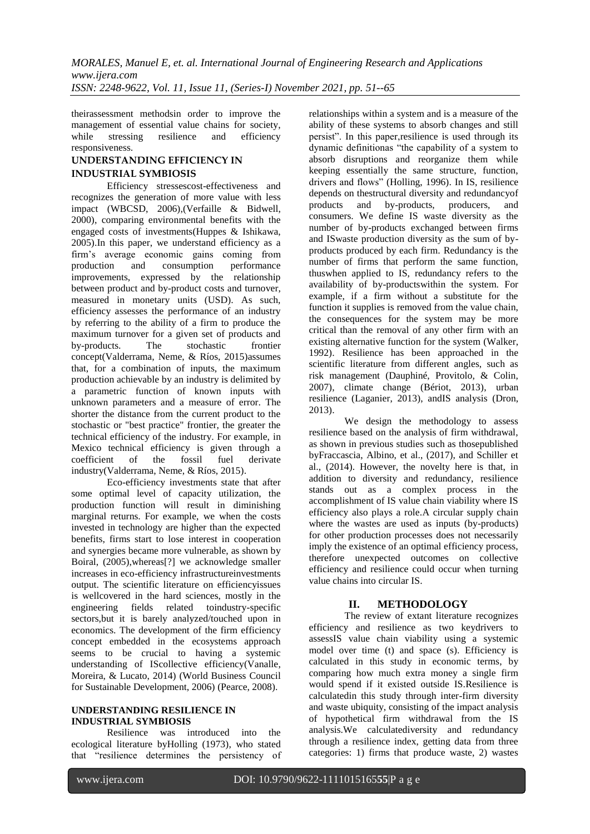theirassessment methodsin order to improve the management of essential value chains for society, while stressing resilience and efficiency responsiveness.

## **UNDERSTANDING EFFICIENCY IN INDUSTRIAL SYMBIOSIS**

Efficiency stressescost-effectiveness and recognizes the generation of more value with less impact (WBCSD, 2006),(Verfaille & Bidwell, 2000), comparing environmental benefits with the engaged costs of investments(Huppes & Ishikawa, 2005).In this paper, we understand efficiency as a firm's average economic gains coming from production and consumption performance improvements, expressed by the relationship between product and by-product costs and turnover, measured in monetary units (USD). As such, efficiency assesses the performance of an industry by referring to the ability of a firm to produce the maximum turnover for a given set of products and by-products. The stochastic frontier concept(Valderrama, Neme, & Ríos, 2015)assumes that, for a combination of inputs, the maximum production achievable by an industry is delimited by a parametric function of known inputs with unknown parameters and a measure of error. The shorter the distance from the current product to the stochastic or "best practice" frontier, the greater the technical efficiency of the industry. For example, in Mexico technical efficiency is given through a coefficient of the fossil fuel derivate industry(Valderrama, Neme, & Ríos, 2015).

Eco-efficiency investments state that after some optimal level of capacity utilization, the production function will result in diminishing marginal returns. For example, we when the costs invested in technology are higher than the expected benefits, firms start to lose interest in cooperation and synergies became more vulnerable, as shown by Boiral, (2005),whereas[?] we acknowledge smaller increases in eco-efficiency infrastructureinvestments output. The scientific literature on efficiencyissues is wellcovered in the hard sciences, mostly in the engineering fields related toindustry-specific sectors,but it is barely analyzed/touched upon in economics. The development of the firm efficiency concept embedded in the ecosystems approach seems to be crucial to having a systemic understanding of IScollective efficiency(Vanalle, Moreira, & Lucato, 2014) (World Business Council for Sustainable Development, 2006) (Pearce, 2008).

## **UNDERSTANDING RESILIENCE IN INDUSTRIAL SYMBIOSIS**

Resilience was introduced into the ecological literature byHolling (1973), who stated that "resilience determines the persistency of relationships within a system and is a measure of the ability of these systems to absorb changes and still persist". In this paper, resilience is used through its dynamic definitionas "the capability of a system to absorb disruptions and reorganize them while keeping essentially the same structure, function, drivers and flows" (Holling, 1996). In IS, resilience depends on thestructural diversity and redundancyof products and by-products, producers, and consumers. We define IS waste diversity as the number of by-products exchanged between firms and ISwaste production diversity as the sum of byproducts produced by each firm. Redundancy is the number of firms that perform the same function, thuswhen applied to IS, redundancy refers to the availability of by-productswithin the system. For example, if a firm without a substitute for the function it supplies is removed from the value chain, the consequences for the system may be more critical than the removal of any other firm with an existing alternative function for the system (Walker, 1992). Resilience has been approached in the scientific literature from different angles, such as risk management (Dauphiné, Provitolo, & Colin, 2007), climate change (Bériot, 2013), urban resilience (Laganier, 2013), andIS analysis (Dron, 2013).

We design the methodology to assess resilience based on the analysis of firm withdrawal, as shown in previous studies such as thosepublished byFraccascia, Albino, et al., (2017), and Schiller et al., (2014). However, the novelty here is that, in addition to diversity and redundancy, resilience stands out as a complex process in the accomplishment of IS value chain viability where IS efficiency also plays a role.A circular supply chain where the wastes are used as inputs (by-products) for other production processes does not necessarily imply the existence of an optimal efficiency process, therefore unexpected outcomes on collective efficiency and resilience could occur when turning value chains into circular IS.

# **II. METHODOLOGY**

The review of extant literature recognizes efficiency and resilience as two keydrivers to assessIS value chain viability using a systemic model over time (t) and space (s). Efficiency is calculated in this study in economic terms, by comparing how much extra money a single firm would spend if it existed outside IS.Resilience is calculatedin this study through inter-firm diversity and waste ubiquity, consisting of the impact analysis of hypothetical firm withdrawal from the IS analysis.We calculatediversity and redundancy through a resilience index, getting data from three categories: 1) firms that produce waste, 2) wastes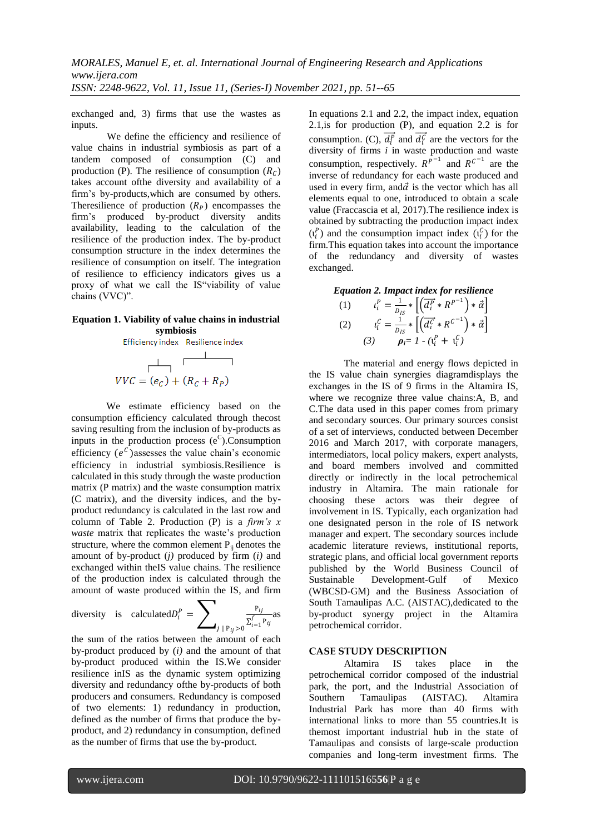exchanged and, 3) firms that use the wastes as inputs.

We define the efficiency and resilience of value chains in industrial symbiosis as part of a tandem composed of consumption (C) and production (P). The resilience of consumption  $(R_C)$ takes account ofthe diversity and availability of a firm's by-products,which are consumed by others. Theresilience of production  $(R_p)$  encompasses the firm's produced by-product diversity andits availability, leading to the calculation of the resilience of the production index. The by-product consumption structure in the index determines the resilience of consumption on itself. The integration of resilience to efficiency indicators gives us a proxy of what we call the IS"viability of value chains (VVC)".

## **Equation 1. Viability of value chains in industrial symbiosis**



We estimate efficiency based on the consumption efficiency calculated through thecost saving resulting from the inclusion of by-products as inputs in the production process  $(e^C)$ . Consumption efficiency  $(e^C)$  assesses the value chain's economic efficiency in industrial symbiosis.Resilience is calculated in this study through the waste production matrix (P matrix) and the waste consumption matrix (C matrix), and the diversity indices, and the byproduct redundancy is calculated in the last row and column of Table 2. Production (P) is a *firm's x waste* matrix that replicates the waste's production structure, where the common element  $P_{ii}$  denotes the amount of by-product (*j)* produced by firm (*i)* and exchanged within theIS value chains. The resilience of the production index is calculated through the amount of waste produced within the IS, and firm

diversity is calculated 
$$
D_i^P = \sum_{j | P_{ij} > 0} \frac{P_{ij}}{\sum_{i=1}^f P_{ij}}
$$
 as

the sum of the ratios between the amount of each by-product produced by (*i)* and the amount of that by-product produced within the IS.We consider resilience inIS as the dynamic system optimizing diversity and redundancy ofthe by-products of both producers and consumers. Redundancy is composed of two elements: 1) redundancy in production, defined as the number of firms that produce the byproduct, and 2) redundancy in consumption, defined as the number of firms that use the by-product.

In equations 2.1 and 2.2, the impact index, equation 2.1,is for production (P), and equation 2.2 is for consumption. (C),  $\overrightarrow{d_i^p}$  and  $\overrightarrow{d_i^c}$  are the vectors for the diversity of firms *i* in waste production and waste consumption, respectively.  $R^{p-1}$  and  $R^{c-1}$  are the inverse of redundancy for each waste produced and used in every firm, and  $\vec{\alpha}$  is the vector which has all elements equal to one, introduced to obtain a scale value (Fraccascia et al, 2017).The resilience index is obtained by subtracting the production impact index  $(\iota_i^P)$  and the consumption impact index  $(\iota_i^C)$  for the firm.This equation takes into account the importance of the redundancy and diversity of wastes exchanged.

*Equation 2. Impact index for resilience*

(1) 
$$
t_i^P = \frac{1}{D_{IS}} * \left[ \left( \overline{d_i^P} * R^{P^{-1}} \right) * \vec{\alpha} \right]
$$
  
(2) 
$$
t_i^C = \frac{1}{D_{IS}} * \left[ \left( \overline{d_i^C} * R^{C^{-1}} \right) * \vec{\alpha} \right]
$$
  
(3) 
$$
p_i = 1 - (t_i^P + t_i^C)
$$

The material and energy flows depicted in the IS value chain synergies diagramdisplays the exchanges in the IS of 9 firms in the Altamira IS, where we recognize three value chains: A, B, and C.The data used in this paper comes from primary and secondary sources. Our primary sources consist of a set of interviews, conducted between December 2016 and March 2017, with corporate managers, intermediators, local policy makers, expert analysts, and board members involved and committed directly or indirectly in the local petrochemical industry in Altamira. The main rationale for choosing these actors was their degree of involvement in IS. Typically, each organization had one designated person in the role of IS network manager and expert. The secondary sources include academic literature reviews, institutional reports, strategic plans, and official local government reports published by the World Business Council of Sustainable Development-Gulf of Mexico (WBCSD-GM) and the Business Association of South Tamaulipas A.C. (AISTAC),dedicated to the by-product synergy project in the Altamira petrochemical corridor.

## **CASE STUDY DESCRIPTION**

Altamira IS takes place in the petrochemical corridor composed of the industrial park, the port, and the Industrial Association of Southern Tamaulipas (AISTAC). Altamira Industrial Park has more than 40 firms with international links to more than 55 countries.It is themost important industrial hub in the state of Tamaulipas and consists of large-scale production companies and long-term investment firms. The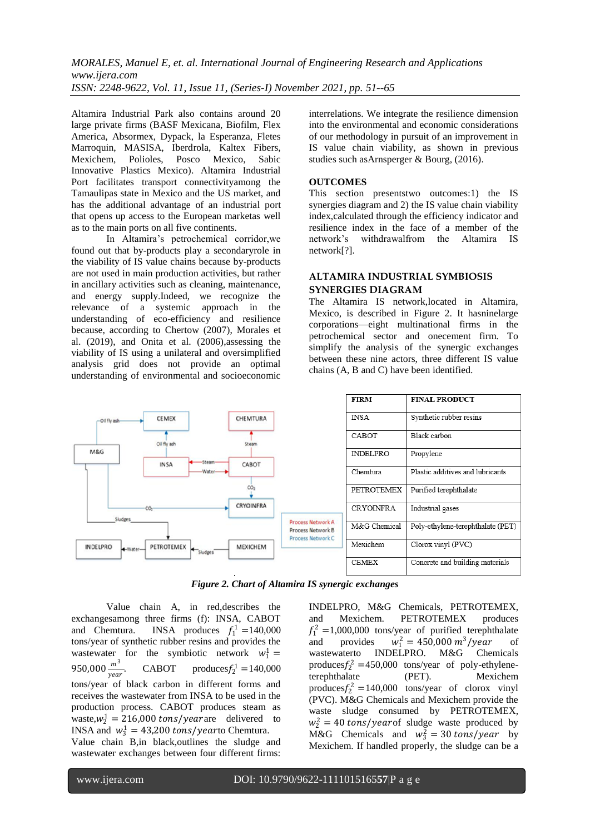Altamira Industrial Park also contains around 20 large private firms (BASF Mexicana, Biofilm, Flex America, Absormex, Dypack, la Esperanza, Fletes Marroquin, MASISA, Iberdrola, Kaltex Fibers, Mexichem, Polioles, Posco Mexico, Sabic Innovative Plastics Mexico). Altamira Industrial Port facilitates transport connectivityamong the Tamaulipas state in Mexico and the US market, and has the additional advantage of an industrial port that opens up access to the European marketas well as to the main ports on all five continents.

In Altamira's petrochemical corridor,we found out that by-products play a secondaryrole in the viability of IS value chains because by-products are not used in main production activities, but rather in ancillary activities such as cleaning, maintenance, and energy supply.Indeed, we recognize the relevance of a systemic approach in the understanding of eco-efficiency and resilience because, according to Chertow (2007), Morales et al. (2019), and Onita et al. (2006),assessing the viability of IS using a unilateral and oversimplified analysis grid does not provide an optimal understanding of environmental and socioeconomic

interrelations. We integrate the resilience dimension into the environmental and economic considerations of our methodology in pursuit of an improvement in IS value chain viability, as shown in previous studies such asArnsperger & Bourg, (2016).

#### **OUTCOMES**

This section presentstwo outcomes:1) the IS synergies diagram and 2) the IS value chain viability index,calculated through the efficiency indicator and resilience index in the face of a member of the network's withdrawalfrom the Altamira IS network[?].

# **ALTAMIRA INDUSTRIAL SYMBIOSIS SYNERGIES DIAGRAM**

The Altamira IS network,located in Altamira, Mexico, is described in Figure 2. It hasninelarge corporations—eight multinational firms in the petrochemical sector and onecement firm. To simplify the analysis of the synergic exchanges between these nine actors, three different IS value chains (A, B and C) have been identified.



*Figure 2. Chart of Altamira IS synergic exchanges* 

Value chain A, in red,describes the exchangesamong three firms (f): INSA, CABOT and Chemtura. INSA produces  $f_1^1 = 140,000$ tons/year of synthetic rubber resins and provides the wastewater for the symbiotic network  $w_1^1 =$ 950,000 $\frac{m^3}{year}$ **CABOT** produces  $f_2^1 = 140,000$ tons/year of black carbon in different forms and receives the wastewater from INSA to be used in the production process. CABOT produces steam as waste, $w_2^1 = 216,000 \text{ tons}/year$  delivered to INSA and  $w_3^1 = 43,200 \text{ tons}/\text{year}$  Chemtura.

Value chain B,in black,outlines the sludge and wastewater exchanges between four different firms: INDELPRO, M&G Chemicals, PETROTEMEX, and Mexichem. PETROTEMEX produces  $f_1^2 = 1,000,000$  tons/year of purified terephthalate and provides  $n_1^2 = 450,000 \ m^3/year$  of wastewaterto INDELPRO. M&G Chemicals produces $f_2^2$  =450,000 tons/year of poly-ethyleneterephthalate (PET). Mexichem produces $f_2^2 = 140,000$  tons/year of clorox vinyl (PVC). M&G Chemicals and Mexichem provide the waste sludge consumed by PETROTEMEX,  $w_2^2 = 40$  tons/year of sludge waste produced by M&G Chemicals and  $w_3^2 = 30 \text{ tons/year}$  by Mexichem. If handled properly, the sludge can be a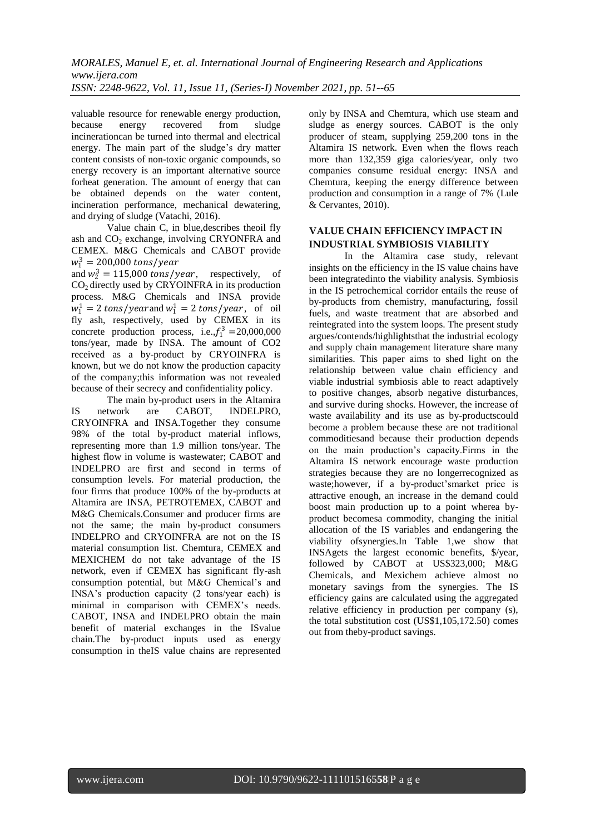valuable resource for renewable energy production, because energy recovered from sludge incinerationcan be turned into thermal and electrical energy. The main part of the sludge's dry matter content consists of non-toxic organic compounds, so energy recovery is an important alternative source forheat generation. The amount of energy that can be obtained depends on the water content, incineration performance, mechanical dewatering, and drying of sludge (Vatachi, 2016).

Value chain C, in blue,describes theoil fly ash and  $CO<sub>2</sub>$  exchange, involving CRYONFRA and CEMEX. M&G Chemicals and CABOT provide  $w_1^3 = 200,000$  tons/year

and  $w_2^3 = 115,000 \text{ tons/year}$ , respectively, of  $CO<sub>2</sub>$  directly used by CRYOINFRA in its production process. M&G Chemicals and INSA provide  $w_1^1 = 2$  tons/year and  $w_1^1 = 2$  tons/year, of oil fly ash, respectively, used by CEMEX in its concrete production process, i.e., $f_1^3 = 20,000,000$ tons/year, made by INSA. The amount of CO2 received as a by-product by CRYOINFRA is known, but we do not know the production capacity of the company;this information was not revealed because of their secrecy and confidentiality policy.

The main by-product users in the Altamira IS network are CABOT, INDELPRO, CRYOINFRA and INSA.Together they consume 98% of the total by-product material inflows, representing more than 1.9 million tons/year. The highest flow in volume is wastewater; CABOT and INDELPRO are first and second in terms of consumption levels. For material production, the four firms that produce 100% of the by-products at Altamira are INSA, PETROTEMEX, CABOT and M&G Chemicals.Consumer and producer firms are not the same; the main by-product consumers INDELPRO and CRYOINFRA are not on the IS material consumption list. Chemtura, CEMEX and MEXICHEM do not take advantage of the IS network, even if CEMEX has significant fly-ash consumption potential, but M&G Chemical's and INSA's production capacity (2 tons/year each) is minimal in comparison with CEMEX's needs. CABOT, INSA and INDELPRO obtain the main benefit of material exchanges in the ISvalue chain.The by-product inputs used as energy consumption in theIS value chains are represented

only by INSA and Chemtura, which use steam and sludge as energy sources. CABOT is the only producer of steam, supplying 259,200 tons in the Altamira IS network. Even when the flows reach more than 132,359 giga calories/year, only two companies consume residual energy: INSA and Chemtura, keeping the energy difference between production and consumption in a range of 7% (Lule & Cervantes, 2010).

# **VALUE CHAIN EFFICIENCY IMPACT IN INDUSTRIAL SYMBIOSIS VIABILITY**

In the Altamira case study, relevant insights on the efficiency in the IS value chains have been integratedinto the viability analysis. Symbiosis in the IS petrochemical corridor entails the reuse of by-products from chemistry, manufacturing, fossil fuels, and waste treatment that are absorbed and reintegrated into the system loops. The present study argues/contends/highlightsthat the industrial ecology and supply chain management literature share many similarities. This paper aims to shed light on the relationship between value chain efficiency and viable industrial symbiosis able to react adaptively to positive changes, absorb negative disturbances, and survive during shocks. However, the increase of waste availability and its use as by-productscould become a problem because these are not traditional commoditiesand because their production depends on the main production's capacity.Firms in the Altamira IS network encourage waste production strategies because they are no longerrecognized as waste;however, if a by-product'smarket price is attractive enough, an increase in the demand could boost main production up to a point wherea byproduct becomesa commodity, changing the initial allocation of the IS variables and endangering the viability ofsynergies.In Table 1,we show that INSAgets the largest economic benefits, \$/year, followed by CABOT at US\$323,000; M&G Chemicals, and Mexichem achieve almost no monetary savings from the synergies. The IS efficiency gains are calculated using the aggregated relative efficiency in production per company (s), the total substitution cost (US\$1,105,172.50) comes out from theby-product savings.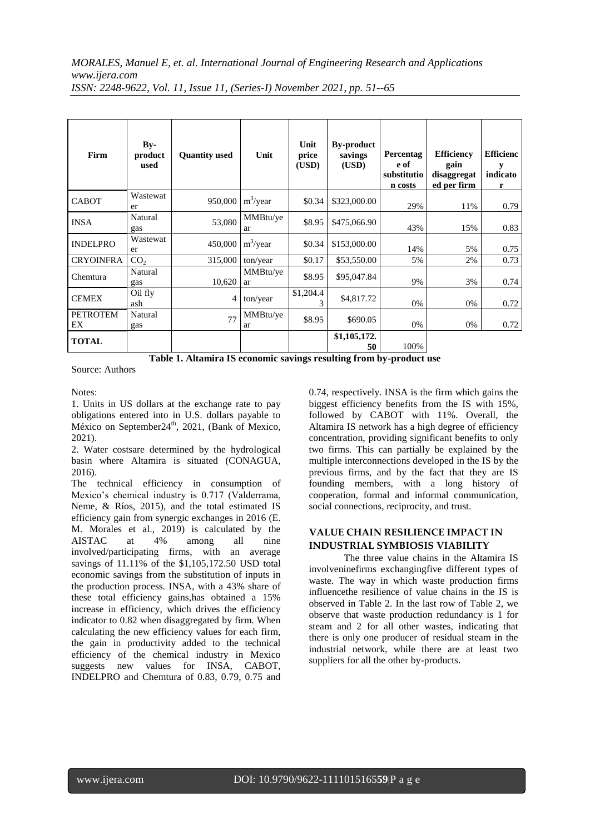| Firm                  | $Bv-$<br>product<br>used | <b>Quantity used</b> | Unit           | Unit<br>price<br>(USD) | <b>By-product</b><br>savings<br>(USD) | Percentag<br>e of<br>substitutio<br>n costs | <b>Efficiency</b><br>gain<br>disaggregat<br>ed per firm | <b>Efficienc</b><br>indicato<br>r |
|-----------------------|--------------------------|----------------------|----------------|------------------------|---------------------------------------|---------------------------------------------|---------------------------------------------------------|-----------------------------------|
| <b>CABOT</b>          | Wastewat<br>er           | 950,000              | $m^3$ /year    | \$0.34                 | \$323,000.00                          | 29%                                         | 11%                                                     | 0.79                              |
| <b>INSA</b>           | Natural<br>gas           | 53,080               | MMBtu/ye<br>ar | \$8.95                 | \$475,066.90                          | 43%                                         | 15%                                                     | 0.83                              |
| <b>INDELPRO</b>       | Wastewat<br>er           | 450,000              | $m^3$ /year    | \$0.34                 | \$153,000.00                          | 14%                                         | 5%                                                      | 0.75                              |
| <b>CRYOINFRA</b>      | CO <sub>2</sub>          | 315,000              | ton/year       | \$0.17                 | \$53,550.00                           | 5%                                          | 2%                                                      | 0.73                              |
| Chemtura              | Natural<br>gas           | 10,620               | MMBtu/ye<br>ar | \$8.95                 | \$95,047.84                           | 9%                                          | 3%                                                      | 0.74                              |
| <b>CEMEX</b>          | Oil fly<br>ash           | 4                    | ton/year       | \$1,204.4              | \$4,817.72                            | 0%                                          | 0%                                                      | 0.72                              |
| <b>PETROTEM</b><br>EX | Natural<br>gas           | 77                   | MMBtu/ye<br>ar | \$8.95                 | \$690.05                              | 0%                                          | 0%                                                      | 0.72                              |
| <b>TOTAL</b>          |                          |                      |                |                        | \$1,105,172.<br>50                    | 100%                                        |                                                         |                                   |

**Table 1. Altamira IS economic savings resulting from by-product use**

Source: Authors

Notes:

1. Units in US dollars at the exchange rate to pay obligations entered into in U.S. dollars payable to México on September24<sup>th</sup>, 2021, (Bank of Mexico, 2021).

2. Water costsare determined by the hydrological basin where Altamira is situated (CONAGUA, 2016).

The technical efficiency in consumption of Mexico's chemical industry is 0.717 (Valderrama, Neme, & Ríos, 2015), and the total estimated IS efficiency gain from synergic exchanges in 2016 (E. M. Morales et al., 2019) is calculated by the AISTAC at 4% among all nine involved/participating firms, with an average savings of 11.11% of the \$1,105,172.50 USD total economic savings from the substitution of inputs in the production process. INSA, with a 43% share of these total efficiency gains,has obtained a 15% increase in efficiency, which drives the efficiency indicator to 0.82 when disaggregated by firm. When calculating the new efficiency values for each firm, the gain in productivity added to the technical efficiency of the chemical industry in Mexico suggests new values for INSA, CABOT, INDELPRO and Chemtura of 0.83, 0.79, 0.75 and 0.74, respectively. INSA is the firm which gains the biggest efficiency benefits from the IS with 15%, followed by CABOT with 11%. Overall, the Altamira IS network has a high degree of efficiency concentration, providing significant benefits to only two firms. This can partially be explained by the multiple interconnections developed in the IS by the previous firms, and by the fact that they are IS founding members, with a long history of cooperation, formal and informal communication, social connections, reciprocity, and trust.

# **VALUE CHAIN RESILIENCE IMPACT IN INDUSTRIAL SYMBIOSIS VIABILITY**

The three value chains in the Altamira IS involveninefirms exchangingfive different types of waste. The way in which waste production firms influencethe resilience of value chains in the IS is observed in Table 2. In the last row of Table 2, we observe that waste production redundancy is 1 for steam and 2 for all other wastes, indicating that there is only one producer of residual steam in the industrial network, while there are at least two suppliers for all the other by-products.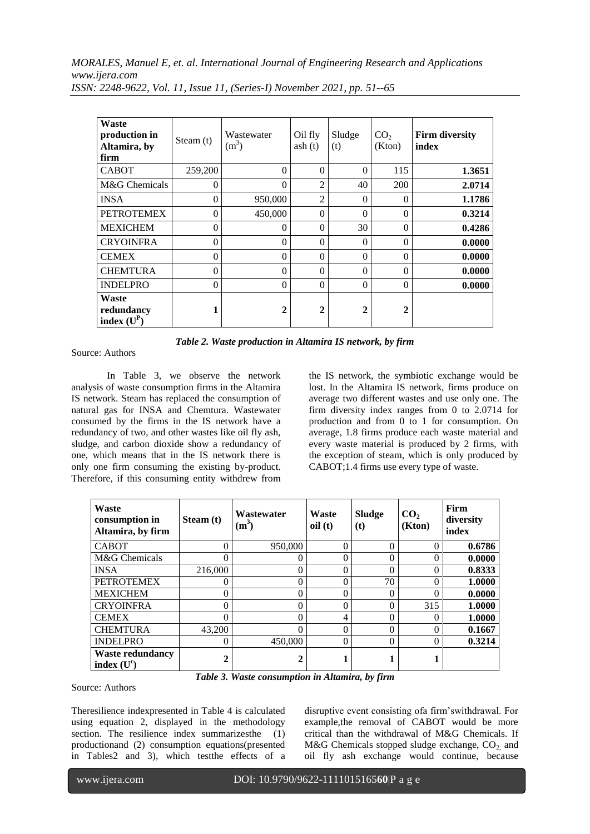*MORALES, Manuel E, et. al. International Journal of Engineering Research and Applications www.ijera.com*

| Waste<br>production in<br>Altamira, by<br>firm | Steam $(t)$ | Wastewater<br>$(m^3)$ | Oil fly<br>ash(t) | Sludge<br>(t) | CO <sub>2</sub><br>(Kton) | <b>Firm diversity</b><br>index |
|------------------------------------------------|-------------|-----------------------|-------------------|---------------|---------------------------|--------------------------------|
| <b>CABOT</b>                                   | 259,200     | 0                     | $\theta$          | $\theta$      | 115                       | 1.3651                         |
| M&G Chemicals                                  | $\theta$    | 0                     | $\overline{2}$    | 40            | 200                       | 2.0714                         |
| <b>INSA</b>                                    | $\theta$    | 950,000               | $\overline{2}$    | $\Omega$      | $\theta$                  | 1.1786                         |
| <b>PETROTEMEX</b>                              | $\theta$    | 450,000               | $\theta$          | $\Omega$      | $\theta$                  | 0.3214                         |
| <b>MEXICHEM</b>                                | $\theta$    | 0                     | $\theta$          | 30            | $\theta$                  | 0.4286                         |
| <b>CRYOINFRA</b>                               | $\theta$    | 0                     | $\theta$          | $\theta$      | $\theta$                  | 0.0000                         |
| <b>CEMEX</b>                                   | $\theta$    | 0                     | $\theta$          | $\theta$      | $\theta$                  | 0.0000                         |
| <b>CHEMTURA</b>                                | $\Omega$    | 0                     | $\theta$          | $\Omega$      | $\Omega$                  | 0.0000                         |
| <b>INDELPRO</b>                                | $\theta$    | $\Omega$              | $\theta$          | $\theta$      | $\Omega$                  | 0.0000                         |
| Waste<br>redundancy<br>index $(U^P)$           | 1           | $\mathbf{2}$          | $\overline{2}$    | $\mathbf 2$   | $\mathbf{2}$              |                                |

*ISSN: 2248-9622, Vol. 11, Issue 11, (Series-I) November 2021, pp. 51--65*

|  | Table 2. Waste production in Altamira IS network, by firm |  |  |  |  |  |
|--|-----------------------------------------------------------|--|--|--|--|--|
|--|-----------------------------------------------------------|--|--|--|--|--|

Source: Authors

In Table 3, we observe the network analysis of waste consumption firms in the Altamira IS network. Steam has replaced the consumption of natural gas for INSA and Chemtura. Wastewater consumed by the firms in the IS network have a redundancy of two, and other wastes like oil fly ash, sludge, and carbon dioxide show a redundancy of one, which means that in the IS network there is only one firm consuming the existing by-product. Therefore, if this consuming entity withdrew from the IS network, the symbiotic exchange would be lost. In the Altamira IS network, firms produce on average two different wastes and use only one. The firm diversity index ranges from 0 to 2.0714 for production and from 0 to 1 for consumption. On average, 1.8 firms produce each waste material and every waste material is produced by 2 firms, with the exception of steam, which is only produced by CABOT;1.4 firms use every type of waste.

| Waste<br>consumption in<br>Altamira, by firm | Steam (t)      | Wastewater<br>$(m^3)$ | Waste<br>oil(t) | <b>Sludge</b><br>(t) | CO <sub>2</sub><br>(Kton) | Firm<br>diversity<br>index |
|----------------------------------------------|----------------|-----------------------|-----------------|----------------------|---------------------------|----------------------------|
| <b>CABOT</b>                                 | $\Omega$       | 950,000               | 0               | 0                    | 0                         | 0.6786                     |
| M&G Chemicals                                |                | $\theta$              | 0               | 0                    | 0                         | 0.0000                     |
| <b>INSA</b>                                  | 216,000        | 0                     | 0               |                      | 0                         | 0.8333                     |
| <b>PETROTEMEX</b>                            |                | $\theta$              | 0               | 70                   | 0                         | 1.0000                     |
| <b>MEXICHEM</b>                              |                | 0                     | 0               |                      | 0                         | 0.0000                     |
| <b>CRYOINFRA</b>                             |                | $\Omega$              | 0               | 0                    | 315                       | 1.0000                     |
| <b>CEMEX</b>                                 |                | $\Omega$              | 4               |                      |                           | 1.0000                     |
| <b>CHEMTURA</b>                              | 43,200         | $\Omega$              | 0               | 0                    | 0                         | 0.1667                     |
| <b>INDELPRO</b>                              |                | 450,000               | 0               |                      | 0                         | 0.3214                     |
| <b>Waste redundancy</b><br>index $(U^c)$     | $\overline{2}$ | 2                     |                 |                      |                           |                            |

*Table 3. Waste consumption in Altamira, by firm*

Source: Authors

Theresilience indexpresented in Table 4 is calculated using equation 2, displayed in the methodology section. The resilience index summarizes the (1) productionand (2) consumption equations(presented in Tables2 and 3), which testthe effects of a

disruptive event consisting ofa firm'swithdrawal. For example,the removal of CABOT would be more critical than the withdrawal of M&G Chemicals. If M&G Chemicals stopped sludge exchange,  $CO<sub>2</sub>$  and oil fly ash exchange would continue, because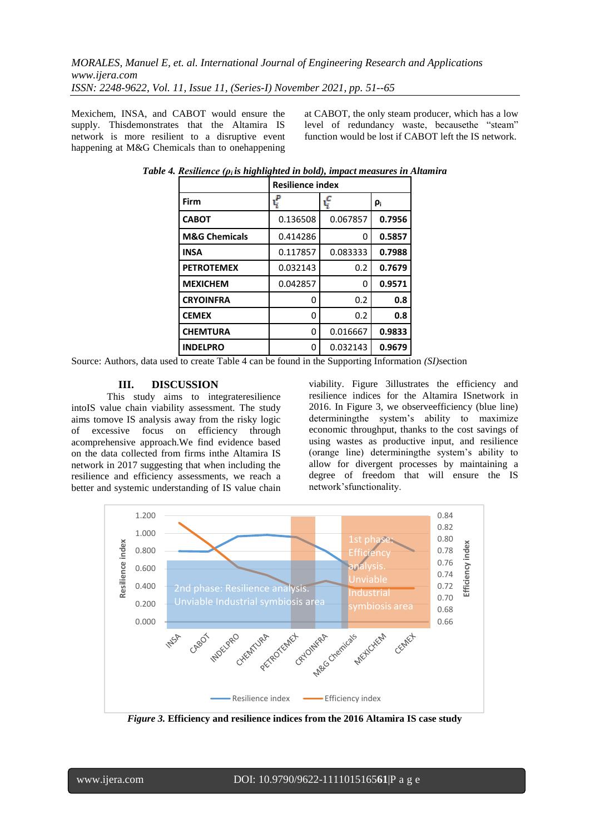Mexichem, INSA, and CABOT would ensure the supply. Thisdemonstrates that the Altamira IS network is more resilient to a disruptive event happening at M&G Chemicals than to onehappening

at CABOT, the only steam producer, which has a low level of redundancy waste, becausethe "steam" function would be lost if CABOT left the IS network.

|                          | <b>Resilience index</b> |          |                |  |  |  |
|--------------------------|-------------------------|----------|----------------|--|--|--|
| Firm                     |                         | ¢        | ρ <sub>i</sub> |  |  |  |
| <b>CABOT</b>             | 0.136508                | 0.067857 | 0.7956         |  |  |  |
| <b>M&amp;G Chemicals</b> | 0.414286                | 0        | 0.5857         |  |  |  |
| <b>INSA</b>              | 0.117857                | 0.083333 | 0.7988         |  |  |  |
| <b>PETROTEMEX</b>        | 0.032143                | 0.2      | 0.7679         |  |  |  |
| <b>MEXICHEM</b>          | 0.042857                | 0        | 0.9571         |  |  |  |
| <b>CRYOINFRA</b>         | O                       | 0.2      | 0.8            |  |  |  |
| <b>CEMEX</b>             | 0                       | 0.2      | 0.8            |  |  |  |
| <b>CHEMTURA</b>          | 0                       | 0.016667 | 0.9833         |  |  |  |
| <b>INDELPRO</b>          | 0                       | 0.032143 | 0.9679         |  |  |  |

*Table 4. Resilience (ρ<sub>i</sub> is highlighted in bold), impact measures in Altamira* 

Source: Authors, data used to create Table 4 can be found in the Supporting Information *(SI)*section

## **III. DISCUSSION**

This study aims to integrateresilience intoIS value chain viability assessment. The study aims tomove IS analysis away from the risky logic of excessive focus on efficiency through acomprehensive approach.We find evidence based on the data collected from firms inthe Altamira IS network in 2017 suggesting that when including the resilience and efficiency assessments, we reach a better and systemic understanding of IS value chain viability. Figure 3illustrates the efficiency and resilience indices for the Altamira ISnetwork in 2016. In Figure 3, we observeefficiency (blue line) determiningthe system's ability to maximize economic throughput, thanks to the cost savings of using wastes as productive input, and resilience (orange line) determiningthe system's ability to allow for divergent processes by maintaining a degree of freedom that will ensure the IS network'sfunctionality.



*Figure 3.* **Efficiency and resilience indices from the 2016 Altamira IS case study**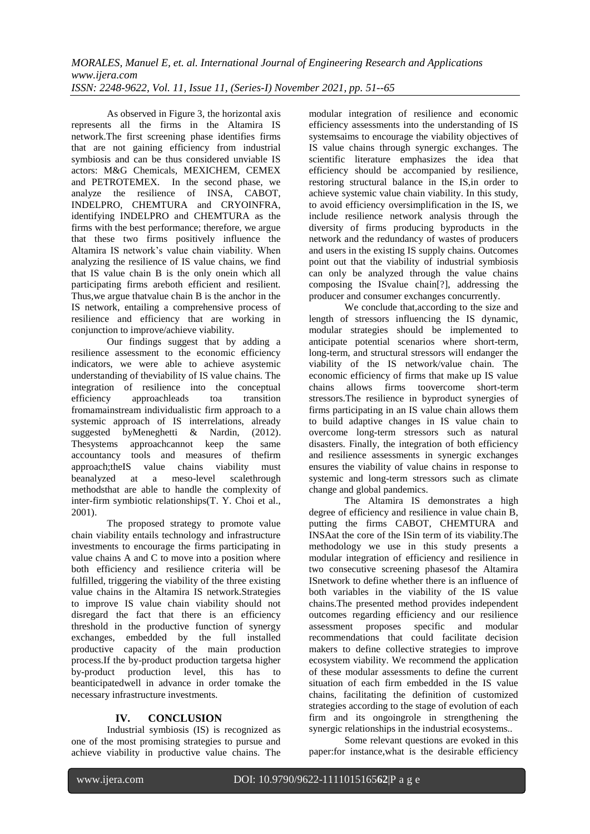As observed in Figure 3, the horizontal axis represents all the firms in the Altamira IS network.The first screening phase identifies firms that are not gaining efficiency from industrial symbiosis and can be thus considered unviable IS actors: M&G Chemicals, MEXICHEM, CEMEX and PETROTEMEX. In the second phase, we analyze the resilience of INSA, CABOT, INDELPRO, CHEMTURA and CRYOINFRA, identifying INDELPRO and CHEMTURA as the firms with the best performance; therefore, we argue that these two firms positively influence the Altamira IS network's value chain viability. When analyzing the resilience of IS value chains, we find that IS value chain B is the only onein which all participating firms areboth efficient and resilient. Thus,we argue thatvalue chain B is the anchor in the IS network, entailing a comprehensive process of resilience and efficiency that are working in conjunction to improve/achieve viability.

Our findings suggest that by adding a resilience assessment to the economic efficiency indicators, we were able to achieve asystemic understanding of theviability of IS value chains. The integration of resilience into the conceptual efficiency approachleads toa transition fromamainstream individualistic firm approach to a systemic approach of IS interrelations, already suggested byMeneghetti & Nardin, (2012). Thesystems approachcannot keep the same accountancy tools and measures of thefirm approach;theIS value chains viability must beanalyzed at a meso-level scalethrough methodsthat are able to handle the complexity of inter-firm symbiotic relationships(T. Y. Choi et al., 2001).

The proposed strategy to promote value chain viability entails technology and infrastructure investments to encourage the firms participating in value chains A and C to move into a position where both efficiency and resilience criteria will be fulfilled, triggering the viability of the three existing value chains in the Altamira IS network.Strategies to improve IS value chain viability should not disregard the fact that there is an efficiency threshold in the productive function of synergy exchanges, embedded by the full installed productive capacity of the main production process.If the by-product production targetsa higher by-product production level, this has to beanticipatedwell in advance in order tomake the necessary infrastructure investments.

# **IV. CONCLUSION**

Industrial symbiosis (IS) is recognized as one of the most promising strategies to pursue and achieve viability in productive value chains. The modular integration of resilience and economic efficiency assessments into the understanding of IS systemsaims to encourage the viability objectives of IS value chains through synergic exchanges. The scientific literature emphasizes the idea that efficiency should be accompanied by resilience, restoring structural balance in the IS,in order to achieve systemic value chain viability. In this study, to avoid efficiency oversimplification in the IS, we include resilience network analysis through the diversity of firms producing byproducts in the network and the redundancy of wastes of producers and users in the existing IS supply chains. Outcomes point out that the viability of industrial symbiosis can only be analyzed through the value chains composing the ISvalue chain[?], addressing the producer and consumer exchanges concurrently.

We conclude that,according to the size and length of stressors influencing the IS dynamic, modular strategies should be implemented to anticipate potential scenarios where short-term, long-term, and structural stressors will endanger the viability of the IS network/value chain. The economic efficiency of firms that make up IS value chains allows firms toovercome short-term stressors.The resilience in byproduct synergies of firms participating in an IS value chain allows them to build adaptive changes in IS value chain to overcome long-term stressors such as natural disasters. Finally, the integration of both efficiency and resilience assessments in synergic exchanges ensures the viability of value chains in response to systemic and long-term stressors such as climate change and global pandemics.

The Altamira IS demonstrates a high degree of efficiency and resilience in value chain B, putting the firms CABOT, CHEMTURA and INSAat the core of the ISin term of its viability.The methodology we use in this study presents a modular integration of efficiency and resilience in two consecutive screening phasesof the Altamira ISnetwork to define whether there is an influence of both variables in the viability of the IS value chains.The presented method provides independent outcomes regarding efficiency and our resilience assessment proposes specific and modular recommendations that could facilitate decision makers to define collective strategies to improve ecosystem viability. We recommend the application of these modular assessments to define the current situation of each firm embedded in the IS value chains, facilitating the definition of customized strategies according to the stage of evolution of each firm and its ongoingrole in strengthening the synergic relationships in the industrial ecosystems..

Some relevant questions are evoked in this paper:for instance,what is the desirable efficiency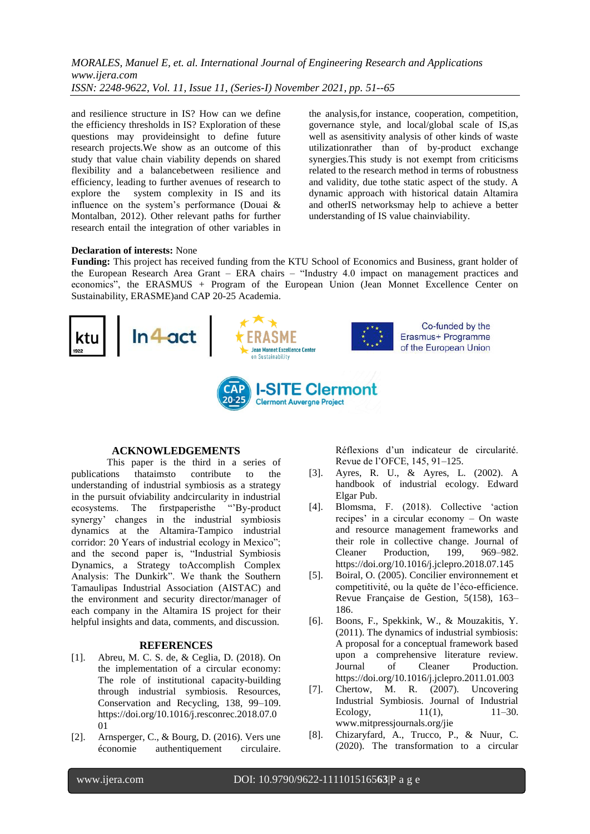and resilience structure in IS? How can we define the efficiency thresholds in IS? Exploration of these questions may provideinsight to define future research projects.We show as an outcome of this study that value chain viability depends on shared flexibility and a balancebetween resilience and efficiency, leading to further avenues of research to explore the system complexity in IS and its influence on the system's performance (Douai & Montalban, 2012). Other relevant paths for further research entail the integration of other variables in the analysis,for instance, cooperation, competition, governance style, and local/global scale of IS,as well as asensitivity analysis of other kinds of waste utilizationrather than of by-product exchange synergies.This study is not exempt from criticisms related to the research method in terms of robustness and validity, due tothe static aspect of the study. A dynamic approach with historical datain Altamira and otherIS networksmay help to achieve a better understanding of IS value chainviability.

#### **Declaration of interests:** None

**Funding:** This project has received funding from the KTU School of Economics and Business, grant holder of the European Research Area Grant – ERA chairs – "Industry 4.0 impact on management practices and economics", the ERASMUS + Program of the European Union (Jean Monnet Excellence Center on Sustainability, ERASME)and CAP 20-25 Academia.



## **ACKNOWLEDGEMENTS**

This paper is the third in a series of publications thataimsto contribute to the understanding of industrial symbiosis as a strategy in the pursuit ofviability andcircularity in industrial ecosystems. The first paperisthe "By-product" synergy' changes in the industrial symbiosis dynamics at the Altamira-Tampico industrial corridor: 20 Years of industrial ecology in Mexico"; and the second paper is, "Industrial Symbiosis Dynamics, a Strategy toAccomplish Complex Analysis: The Dunkirk". We thank the Southern Tamaulipas Industrial Association (AISTAC) and the environment and security director/manager of each company in the Altamira IS project for their helpful insights and data, comments, and discussion.

#### **REFERENCES**

- [1]. Abreu, M. C. S. de, & Ceglia, D. (2018). On the implementation of a circular economy: The role of institutional capacity-building through industrial symbiosis. Resources, Conservation and Recycling, 138, 99–109. https://doi.org/10.1016/j.resconrec.2018.07.0 01
- [2]. Arnsperger, C., & Bourg, D. (2016). Vers une économie authentiquement circulaire.

Réflexions d'un indicateur de circularité. Revue de l'OFCE, 145, 91–125.

- [3]. Ayres, R. U., & Ayres, L. (2002). A handbook of industrial ecology. Edward Elgar Pub.
- [4]. Blomsma, F. (2018). Collective 'action recipes' in a circular economy – On waste and resource management frameworks and their role in collective change. Journal of Cleaner Production, 199, 969–982. https://doi.org/10.1016/j.jclepro.2018.07.145
- [5]. Boiral, O. (2005). Concilier environnement et competitivité, ou la quête de l'éco-efficience. Revue Française de Gestion, 5(158), 163– 186.
- [6]. Boons, F., Spekkink, W., & Mouzakitis, Y. (2011). The dynamics of industrial symbiosis: A proposal for a conceptual framework based upon a comprehensive literature review. Journal of Cleaner Production. https://doi.org/10.1016/j.jclepro.2011.01.003
- [7]. Chertow, M. R. (2007). Uncovering Industrial Symbiosis. Journal of Industrial Ecology, 11(1), 11–30. www.mitpressjournals.org/jie
- [8]. Chizaryfard, A., Trucco, P., & Nuur, C. (2020). The transformation to a circular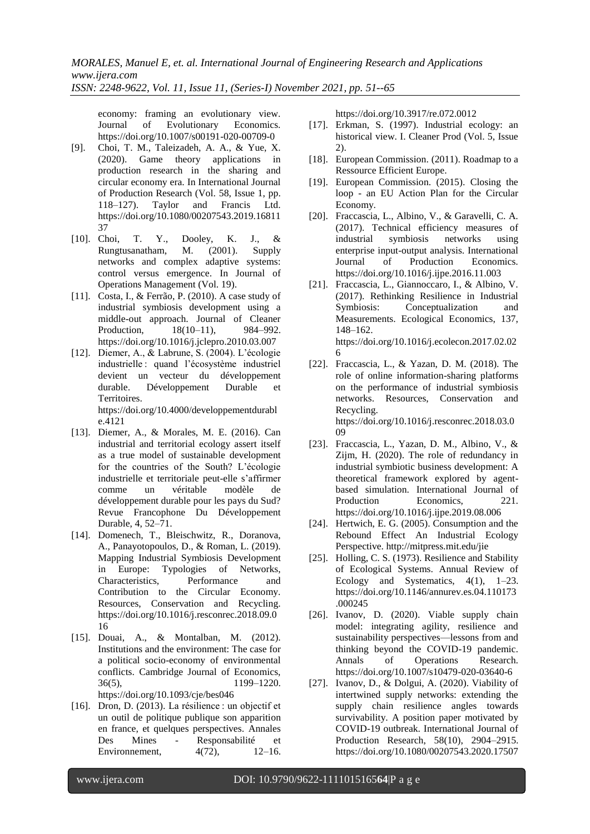economy: framing an evolutionary view. Journal of Evolutionary Economics. https://doi.org/10.1007/s00191-020-00709-0

- [9]. Choi, T. M., Taleizadeh, A. A., & Yue, X. (2020). Game theory applications in production research in the sharing and circular economy era. In International Journal of Production Research (Vol. 58, Issue 1, pp. 118–127). Taylor and Francis Ltd. https://doi.org/10.1080/00207543.2019.16811 37
- [10]. Choi, T. Y., Dooley, K. J., & Rungtusanatham, M. (2001). Supply networks and complex adaptive systems: control versus emergence. In Journal of Operations Management (Vol. 19).
- [11]. Costa, I., & Ferrão, P. (2010). A case study of industrial symbiosis development using a middle-out approach. Journal of Cleaner Production, 18(10–11), 984–992. https://doi.org/10.1016/j.jclepro.2010.03.007
- [12]. Diemer, A., & Labrune, S. (2004). L'écologie industrielle : quand l'écosystème industriel devient un vecteur du développement durable. Développement Durable et Territoires. https://doi.org/10.4000/developpementdurabl e.4121
- [13]. Diemer, A., & Morales, M. E. (2016). Can industrial and territorial ecology assert itself as a true model of sustainable development for the countries of the South? L'écologie industrielle et territoriale peut-elle s'affirmer comme un véritable modèle de développement durable pour les pays du Sud? Revue Francophone Du Développement Durable, 4, 52–71.
- [14]. Domenech, T., Bleischwitz, R., Doranova, A., Panayotopoulos, D., & Roman, L. (2019). Mapping Industrial Symbiosis Development in Europe: Typologies of Networks, Characteristics, Performance and Contribution to the Circular Economy. Resources, Conservation and Recycling. https://doi.org/10.1016/j.resconrec.2018.09.0 16
- [15]. Douai, A., & Montalban, M. (2012). Institutions and the environment: The case for a political socio-economy of environmental conflicts. Cambridge Journal of Economics, 36(5), 1199–1220. https://doi.org/10.1093/cje/bes046
- [16]. Dron, D. (2013). La résilience : un objectif et un outil de politique publique son apparition en france, et quelques perspectives. Annales Des Mines - Responsabilité et Environnement, 4(72), 12–16.

https://doi.org/10.3917/re.072.0012

- [17]. Erkman, S. (1997). Industrial ecology: an historical view. I. Cleaner Prod (Vol. 5, Issue 2).
- [18]. European Commission. (2011). Roadmap to a Ressource Efficient Europe.
- [19]. European Commission. (2015). Closing the loop - an EU Action Plan for the Circular Economy.
- [20]. Fraccascia, L., Albino, V., & Garavelli, C. A. (2017). Technical efficiency measures of industrial symbiosis networks using enterprise input-output analysis. International Journal of Production Economics. https://doi.org/10.1016/j.ijpe.2016.11.003
- [21]. Fraccascia, L., Giannoccaro, I., & Albino, V. (2017). Rethinking Resilience in Industrial Symbiosis: Conceptualization and Measurements. Ecological Economics, 137, 148–162. https://doi.org/10.1016/j.ecolecon.2017.02.02 6
- [22]. Fraccascia, L., & Yazan, D. M. (2018). The role of online information-sharing platforms on the performance of industrial symbiosis networks. Resources, Conservation and Recycling. https://doi.org/10.1016/j.resconrec.2018.03.0 09
- [23]. Fraccascia, L., Yazan, D. M., Albino, V., & Zijm, H. (2020). The role of redundancy in industrial symbiotic business development: A theoretical framework explored by agentbased simulation. International Journal of Production Economics. 221. https://doi.org/10.1016/j.ijpe.2019.08.006
- [24]. Hertwich, E. G. (2005). Consumption and the Rebound Effect An Industrial Ecology Perspective. http://mitpress.mit.edu/jie
- [25]. Holling, C. S. (1973). Resilience and Stability of Ecological Systems. Annual Review of Ecology and Systematics, 4(1), 1–23. https://doi.org/10.1146/annurev.es.04.110173 .000245
- [26]. Ivanov, D. (2020). Viable supply chain model: integrating agility, resilience and sustainability perspectives—lessons from and thinking beyond the COVID-19 pandemic. Annals of Operations Research. https://doi.org/10.1007/s10479-020-03640-6
- [27]. Ivanov, D., & Dolgui, A. (2020). Viability of intertwined supply networks: extending the supply chain resilience angles towards survivability. A position paper motivated by COVID-19 outbreak. International Journal of Production Research, 58(10), 2904–2915. https://doi.org/10.1080/00207543.2020.17507